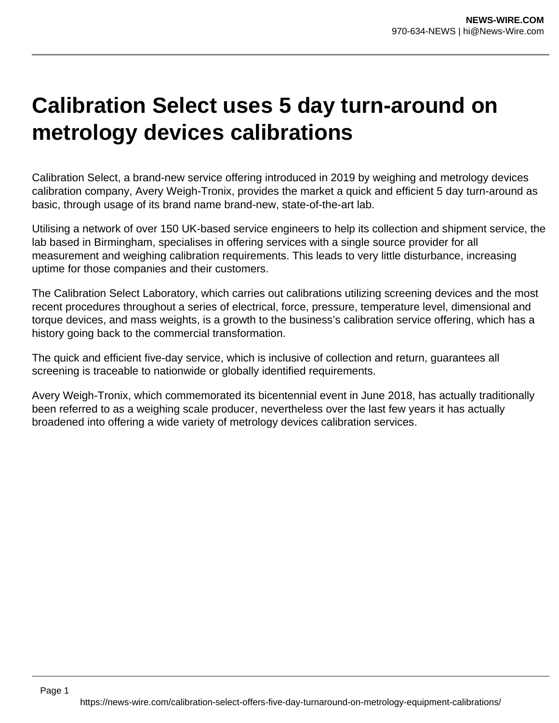## **Calibration Select uses 5 day turn-around on metrology devices calibrations**

Calibration Select, a brand-new service offering introduced in 2019 by weighing and metrology devices calibration company, Avery Weigh-Tronix, provides the market a quick and efficient 5 day turn-around as basic, through usage of its brand name brand-new, state-of-the-art lab.

Utilising a network of over 150 UK-based service engineers to help its collection and shipment service, the lab based in Birmingham, specialises in offering services with a single source provider for all measurement and weighing calibration requirements. This leads to very little disturbance, increasing uptime for those companies and their customers.

The Calibration Select Laboratory, which carries out calibrations utilizing screening devices and the most recent procedures throughout a series of electrical, force, pressure, temperature level, dimensional and torque devices, and mass weights, is a growth to the business's calibration service offering, which has a history going back to the commercial transformation.

The quick and efficient five-day service, which is inclusive of collection and return, guarantees all screening is traceable to nationwide or globally identified requirements.

Avery Weigh-Tronix, which commemorated its bicentennial event in June 2018, has actually traditionally been referred to as a weighing scale producer, nevertheless over the last few years it has actually broadened into offering a wide variety of metrology devices calibration services.